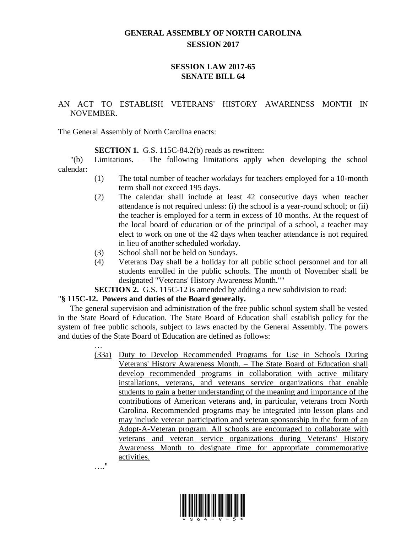## **GENERAL ASSEMBLY OF NORTH CAROLINA SESSION 2017**

## **SESSION LAW 2017-65 SENATE BILL 64**

## AN ACT TO ESTABLISH VETERANS' HISTORY AWARENESS MONTH IN NOVEMBER.

The General Assembly of North Carolina enacts:

**SECTION 1.** G.S. 115C-84.2(b) reads as rewritten:

"(b) Limitations. – The following limitations apply when developing the school calendar:

- (1) The total number of teacher workdays for teachers employed for a 10-month term shall not exceed 195 days.
- (2) The calendar shall include at least 42 consecutive days when teacher attendance is not required unless: (i) the school is a year-round school; or (ii) the teacher is employed for a term in excess of 10 months. At the request of the local board of education or of the principal of a school, a teacher may elect to work on one of the 42 days when teacher attendance is not required in lieu of another scheduled workday.
- (3) School shall not be held on Sundays.
- (4) Veterans Day shall be a holiday for all public school personnel and for all students enrolled in the public schools. The month of November shall be designated "Veterans' History Awareness Month.""
- **SECTION 2.** G.S. 115C-12 is amended by adding a new subdivision to read:

## "**§ 115C-12. Powers and duties of the Board generally.**

The general supervision and administration of the free public school system shall be vested in the State Board of Education. The State Board of Education shall establish policy for the system of free public schools, subject to laws enacted by the General Assembly. The powers and duties of the State Board of Education are defined as follows:

> … (33a) Duty to Develop Recommended Programs for Use in Schools During Veterans' History Awareness Month. – The State Board of Education shall develop recommended programs in collaboration with active military installations, veterans, and veterans service organizations that enable students to gain a better understanding of the meaning and importance of the contributions of American veterans and, in particular, veterans from North Carolina. Recommended programs may be integrated into lesson plans and may include veteran participation and veteran sponsorship in the form of an Adopt-A-Veteran program. All schools are encouraged to collaborate with veterans and veteran service organizations during Veterans' History Awareness Month to designate time for appropriate commemorative activities. …."